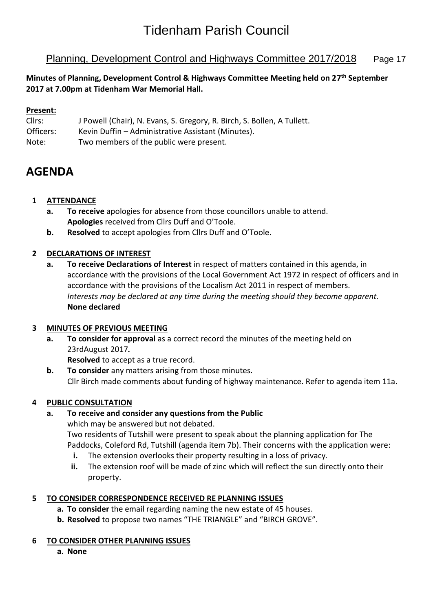## Tidenham Parish Council

## Planning, Development Control and Highways Committee 2017/2018 Page 17

**Minutes of Planning, Development Control & Highways Committee Meeting held on 27 th September 2017 at 7.00pm at Tidenham War Memorial Hall.**

## **Present:**

- Cllrs: J Powell (Chair), N. Evans, S. Gregory, R. Birch, S. Bollen, A Tullett.
- Officers: Kevin Duffin Administrative Assistant (Minutes).
- Note: Two members of the public were present.

## **AGENDA**

## **1 ATTENDANCE**

- **a. To receive** apologies for absence from those councillors unable to attend. **Apologies** received from Cllrs Duff and O'Toole.
- **b. Resolved** to accept apologies from Cllrs Duff and O'Toole.

## **2 DECLARATIONS OF INTEREST**

**a. To receive Declarations of Interest** in respect of matters contained in this agenda, in accordance with the provisions of the Local Government Act 1972 in respect of officers and in accordance with the provisions of the Localism Act 2011 in respect of members. *Interests may be declared at any time during the meeting should they become apparent.* **None declared**

## **3 MINUTES OF PREVIOUS MEETING**

**a. To consider for approval** as a correct record the minutes of the meeting held on 23rdAugust 2017*.*

**Resolved** to accept as a true record.

**b. To consider** any matters arising from those minutes. Cllr Birch made comments about funding of highway maintenance. Refer to agenda item 11a.

## **4 PUBLIC CONSULTATION**

## **a. To receive and consider any questions from the Public**

which may be answered but not debated. Two residents of Tutshill were present to speak about the planning application for The Paddocks, Coleford Rd, Tutshill (agenda item 7b). Their concerns with the application were:

- **i.** The extension overlooks their property resulting in a loss of privacy.
- **ii.** The extension roof will be made of zinc which will reflect the sun directly onto their property.

## **5 TO CONSIDER CORRESPONDENCE RECEIVED RE PLANNING ISSUES**

- **a. To consider** the email regarding naming the new estate of 45 houses.
- **b. Resolved** to propose two names "THE TRIANGLE" and "BIRCH GROVE".

## **6 TO CONSIDER OTHER PLANNING ISSUES**

**a. None**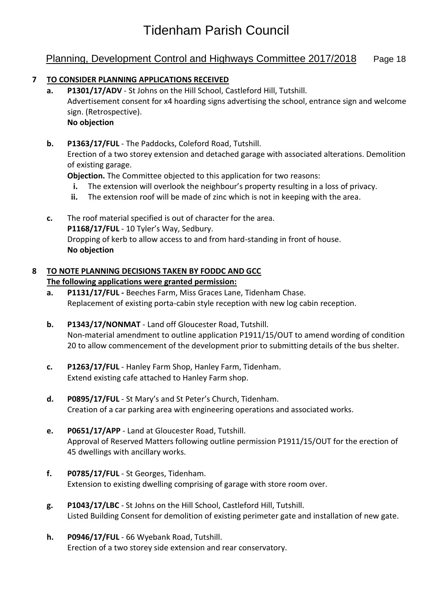## Planning, Development Control and Highways Committee 2017/2018 Page 18

## **7 TO CONSIDER PLANNING APPLICATIONS RECEIVED**

**a. P1301/17/ADV** - St Johns on the Hill School, Castleford Hill, Tutshill. [Advertisement consent for x4 hoarding signs advertising the school, entrance sign and welcome](https://publicaccess.fdean.gov.uk/online-applications/applicationDetails.do?activeTab=summary&keyVal=OUBGVHHIMYJ00&prevPage=inTray)  [sign. \(Retrospective\).](https://publicaccess.fdean.gov.uk/online-applications/applicationDetails.do?activeTab=summary&keyVal=OUBGVHHIMYJ00&prevPage=inTray)  **No objection**

## **b. P1363/17/FUL** - The Paddocks, Coleford Road, Tutshill.

Erection of a two storey extension and detached garage with associated alterations. Demolition of existing garage.

**Objection.** The Committee objected to this application for two reasons:

- **i.** The extension will overlook the neighbour's property resulting in a loss of privacy.
- **ii.** The extension roof will be made of zinc which is not in keeping with the area.
- **c.** The roof material specified is out of character for the area. **P1168/17/FUL** - 10 Tyler's Way, Sedbury. Dropping of kerb to allow access to and from hard-standing in front of house. **No objection**

#### **8 TO NOTE PLANNING DECISIONS TAKEN BY FODDC AND GCC The following applications were granted permission:**

- **a. P1131/17/FUL -** Beeches Farm, Miss Graces Lane, Tidenham Chase. Replacement of existing porta-cabin style reception with new log cabin reception.
- **b. P1343/17/NONMAT** Land off Gloucester Road, Tutshill. [Non-material amendment to outline application P1911/15/OUT to amend wording of condition](https://publicaccess.fdean.gov.uk/online-applications/applicationDetails.do?activeTab=summary&keyVal=OUOL3SHIN0200)  [20 to allow commencement of the development prior to submitting details of the bus shelter.](https://publicaccess.fdean.gov.uk/online-applications/applicationDetails.do?activeTab=summary&keyVal=OUOL3SHIN0200)
- **c. P1263/17/FUL** Hanley Farm Shop, Hanley Farm, Tidenham. [Extend existing cafe attached to Hanley Farm shop.](https://publicaccess.fdean.gov.uk/online-applications/applicationDetails.do?activeTab=summary&keyVal=OU00JMHI0AF00)
- **d. P0895/17/FUL** St Mary's and St Peter's Church, Tidenham. [Creation of a car parking area with engineering operations and associated works.](https://publicaccess.fdean.gov.uk/online-applications/applicationDetails.do?activeTab=summary&keyVal=OQT2TGHIMHH00)
- **e. P0651/17/APP** Land at Gloucester Road, Tutshill. [Approval of Reserved Matters following outline permission P1911/15/OUT for the erection of](https://publicaccess.fdean.gov.uk/online-applications/applicationDetails.do?activeTab=summary&keyVal=OOWPRBHIM8900)  [45 dwellings with ancillary works.](https://publicaccess.fdean.gov.uk/online-applications/applicationDetails.do?activeTab=summary&keyVal=OOWPRBHIM8900)
- **f. P0785/17/FUL** St Georges, Tidenham. Extension to existing dwelling comprising of garage with store room over.
- **g. P1043/17/LBC** St Johns on the Hill School, Castleford Hill, Tutshill. Listed Building Consent for demolition of existing perimeter gate and installation of new gate.
- **h. P0946/17/FUL** 66 Wyebank Road, Tutshill. Erection of a two storey side extension and rear conservatory.